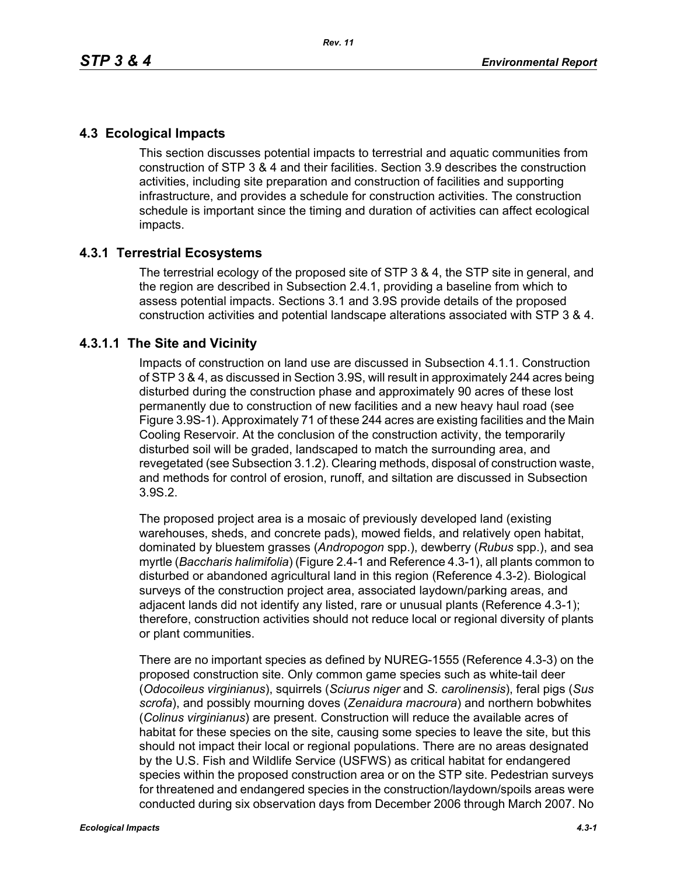# **4.3 Ecological Impacts**

This section discusses potential impacts to terrestrial and aquatic communities from construction of STP 3 & 4 and their facilities. Section 3.9 describes the construction activities, including site preparation and construction of facilities and supporting infrastructure, and provides a schedule for construction activities. The construction schedule is important since the timing and duration of activities can affect ecological impacts.

# **4.3.1 Terrestrial Ecosystems**

The terrestrial ecology of the proposed site of STP 3 & 4, the STP site in general, and the region are described in Subsection 2.4.1, providing a baseline from which to assess potential impacts. Sections 3.1 and 3.9S provide details of the proposed construction activities and potential landscape alterations associated with STP 3 & 4.

# **4.3.1.1 The Site and Vicinity**

Impacts of construction on land use are discussed in Subsection 4.1.1. Construction of STP 3 & 4, as discussed in Section 3.9S, will result in approximately 244 acres being disturbed during the construction phase and approximately 90 acres of these lost permanently due to construction of new facilities and a new heavy haul road (see Figure 3.9S-1). Approximately 71 of these 244 acres are existing facilities and the Main Cooling Reservoir. At the conclusion of the construction activity, the temporarily disturbed soil will be graded, landscaped to match the surrounding area, and revegetated (see Subsection 3.1.2). Clearing methods, disposal of construction waste, and methods for control of erosion, runoff, and siltation are discussed in Subsection 3.9S.2.

The proposed project area is a mosaic of previously developed land (existing warehouses, sheds, and concrete pads), mowed fields, and relatively open habitat, dominated by bluestem grasses (*Andropogon* spp.), dewberry (*Rubus* spp.), and sea myrtle (*Baccharis halimifolia*) (Figure 2.4-1 and Reference 4.3-1), all plants common to disturbed or abandoned agricultural land in this region (Reference 4.3-2). Biological surveys of the construction project area, associated laydown/parking areas, and adjacent lands did not identify any listed, rare or unusual plants (Reference 4.3-1); therefore, construction activities should not reduce local or regional diversity of plants or plant communities.

There are no important species as defined by NUREG-1555 (Reference 4.3-3) on the proposed construction site. Only common game species such as white-tail deer (*Odocoileus virginianus*), squirrels (*Sciurus niger* and *S. carolinensis*), feral pigs (*Sus scrofa*), and possibly mourning doves (*Zenaidura macroura*) and northern bobwhites (*Colinus virginianus*) are present. Construction will reduce the available acres of habitat for these species on the site, causing some species to leave the site, but this should not impact their local or regional populations. There are no areas designated by the U.S. Fish and Wildlife Service (USFWS) as critical habitat for endangered species within the proposed construction area or on the STP site. Pedestrian surveys for threatened and endangered species in the construction/laydown/spoils areas were conducted during six observation days from December 2006 through March 2007. No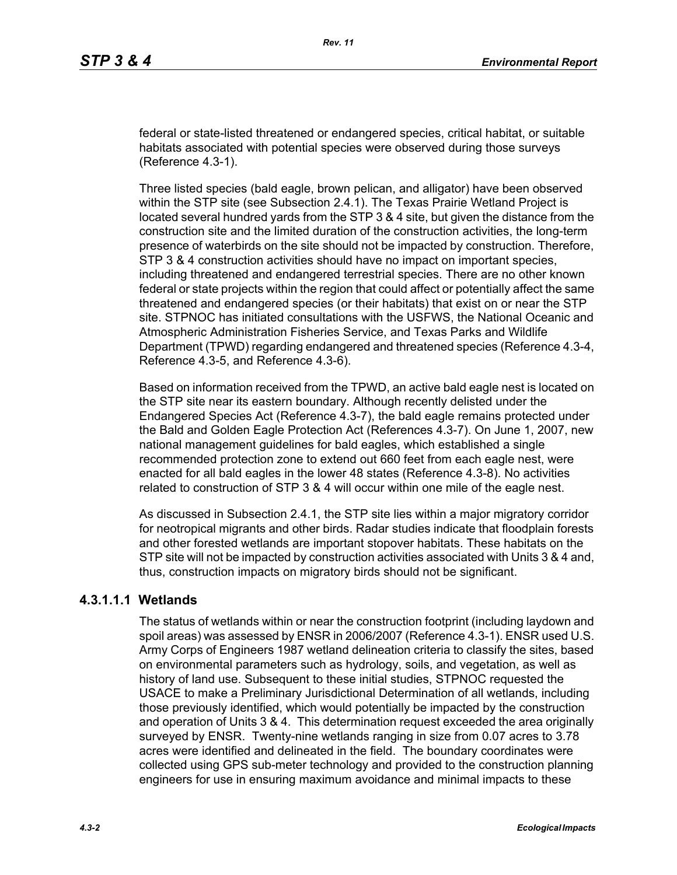federal or state-listed threatened or endangered species, critical habitat, or suitable habitats associated with potential species were observed during those surveys (Reference 4.3-1).

Three listed species (bald eagle, brown pelican, and alligator) have been observed within the STP site (see Subsection 2.4.1). The Texas Prairie Wetland Project is located several hundred yards from the STP 3 & 4 site, but given the distance from the construction site and the limited duration of the construction activities, the long-term presence of waterbirds on the site should not be impacted by construction. Therefore, STP 3 & 4 construction activities should have no impact on important species, including threatened and endangered terrestrial species. There are no other known federal or state projects within the region that could affect or potentially affect the same threatened and endangered species (or their habitats) that exist on or near the STP site. STPNOC has initiated consultations with the USFWS, the National Oceanic and Atmospheric Administration Fisheries Service, and Texas Parks and Wildlife Department (TPWD) regarding endangered and threatened species (Reference 4.3-4, Reference 4.3-5, and Reference 4.3-6).

Based on information received from the TPWD, an active bald eagle nest is located on the STP site near its eastern boundary. Although recently delisted under the Endangered Species Act (Reference 4.3-7), the bald eagle remains protected under the Bald and Golden Eagle Protection Act (References 4.3-7). On June 1, 2007, new national management guidelines for bald eagles, which established a single recommended protection zone to extend out 660 feet from each eagle nest, were enacted for all bald eagles in the lower 48 states (Reference 4.3-8). No activities related to construction of STP 3 & 4 will occur within one mile of the eagle nest.

As discussed in Subsection 2.4.1, the STP site lies within a major migratory corridor for neotropical migrants and other birds. Radar studies indicate that floodplain forests and other forested wetlands are important stopover habitats. These habitats on the STP site will not be impacted by construction activities associated with Units 3 & 4 and, thus, construction impacts on migratory birds should not be significant.

# **4.3.1.1.1 Wetlands**

The status of wetlands within or near the construction footprint (including laydown and spoil areas) was assessed by ENSR in 2006/2007 (Reference 4.3-1). ENSR used U.S. Army Corps of Engineers 1987 wetland delineation criteria to classify the sites, based on environmental parameters such as hydrology, soils, and vegetation, as well as history of land use. Subsequent to these initial studies, STPNOC requested the USACE to make a Preliminary Jurisdictional Determination of all wetlands, including those previously identified, which would potentially be impacted by the construction and operation of Units 3 & 4. This determination request exceeded the area originally surveyed by ENSR. Twenty-nine wetlands ranging in size from 0.07 acres to 3.78 acres were identified and delineated in the field. The boundary coordinates were collected using GPS sub-meter technology and provided to the construction planning engineers for use in ensuring maximum avoidance and minimal impacts to these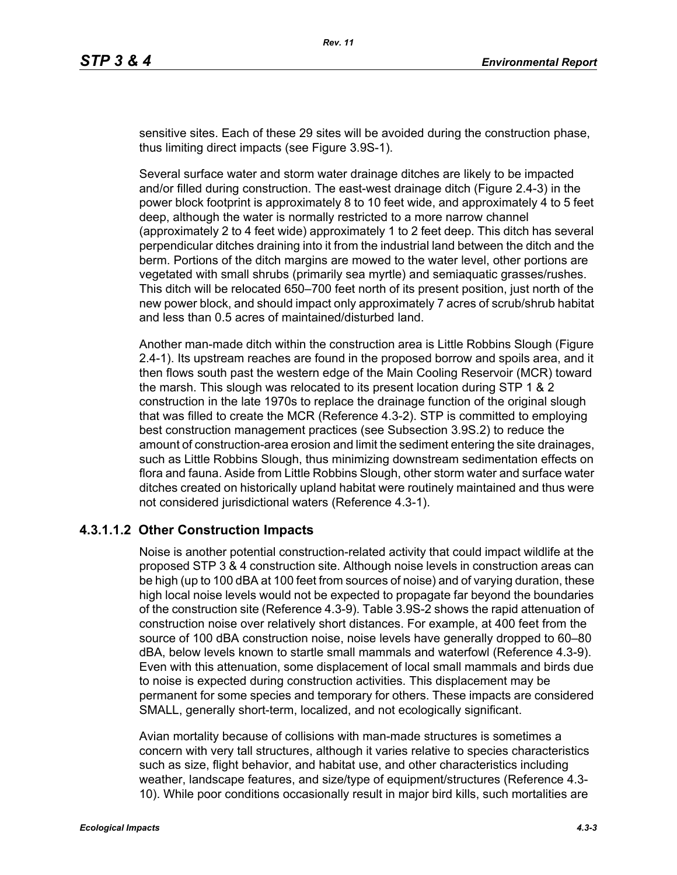sensitive sites. Each of these 29 sites will be avoided during the construction phase, thus limiting direct impacts (see Figure 3.9S-1).

Several surface water and storm water drainage ditches are likely to be impacted and/or filled during construction. The east-west drainage ditch (Figure 2.4-3) in the power block footprint is approximately 8 to 10 feet wide, and approximately 4 to 5 feet deep, although the water is normally restricted to a more narrow channel (approximately 2 to 4 feet wide) approximately 1 to 2 feet deep. This ditch has several perpendicular ditches draining into it from the industrial land between the ditch and the berm. Portions of the ditch margins are mowed to the water level, other portions are vegetated with small shrubs (primarily sea myrtle) and semiaquatic grasses/rushes. This ditch will be relocated 650–700 feet north of its present position, just north of the new power block, and should impact only approximately 7 acres of scrub/shrub habitat and less than 0.5 acres of maintained/disturbed land.

Another man-made ditch within the construction area is Little Robbins Slough (Figure 2.4-1). Its upstream reaches are found in the proposed borrow and spoils area, and it then flows south past the western edge of the Main Cooling Reservoir (MCR) toward the marsh. This slough was relocated to its present location during STP 1 & 2 construction in the late 1970s to replace the drainage function of the original slough that was filled to create the MCR (Reference 4.3-2). STP is committed to employing best construction management practices (see Subsection 3.9S.2) to reduce the amount of construction-area erosion and limit the sediment entering the site drainages, such as Little Robbins Slough, thus minimizing downstream sedimentation effects on flora and fauna. Aside from Little Robbins Slough, other storm water and surface water ditches created on historically upland habitat were routinely maintained and thus were not considered jurisdictional waters (Reference 4.3-1).

#### **4.3.1.1.2 Other Construction Impacts**

Noise is another potential construction-related activity that could impact wildlife at the proposed STP 3 & 4 construction site. Although noise levels in construction areas can be high (up to 100 dBA at 100 feet from sources of noise) and of varying duration, these high local noise levels would not be expected to propagate far beyond the boundaries of the construction site (Reference 4.3-9). Table 3.9S-2 shows the rapid attenuation of construction noise over relatively short distances. For example, at 400 feet from the source of 100 dBA construction noise, noise levels have generally dropped to 60–80 dBA, below levels known to startle small mammals and waterfowl (Reference 4.3-9). Even with this attenuation, some displacement of local small mammals and birds due to noise is expected during construction activities. This displacement may be permanent for some species and temporary for others. These impacts are considered SMALL, generally short-term, localized, and not ecologically significant.

Avian mortality because of collisions with man-made structures is sometimes a concern with very tall structures, although it varies relative to species characteristics such as size, flight behavior, and habitat use, and other characteristics including weather, landscape features, and size/type of equipment/structures (Reference 4.3- 10). While poor conditions occasionally result in major bird kills, such mortalities are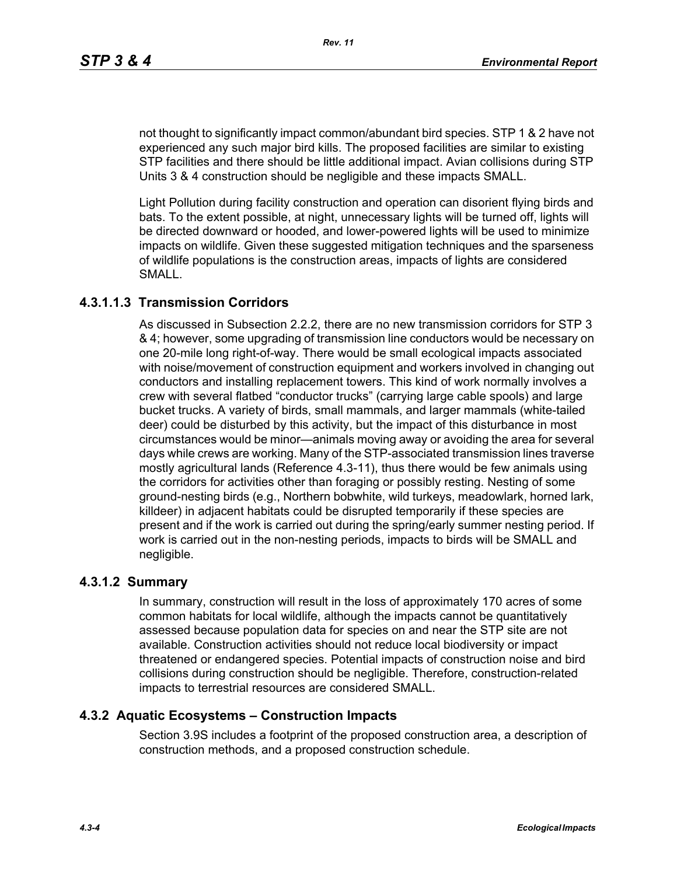not thought to significantly impact common/abundant bird species. STP 1 & 2 have not experienced any such major bird kills. The proposed facilities are similar to existing STP facilities and there should be little additional impact. Avian collisions during STP Units 3 & 4 construction should be negligible and these impacts SMALL.

Light Pollution during facility construction and operation can disorient flying birds and bats. To the extent possible, at night, unnecessary lights will be turned off, lights will be directed downward or hooded, and lower-powered lights will be used to minimize impacts on wildlife. Given these suggested mitigation techniques and the sparseness of wildlife populations is the construction areas, impacts of lights are considered SMALL.

### **4.3.1.1.3 Transmission Corridors**

As discussed in Subsection 2.2.2, there are no new transmission corridors for STP 3 & 4; however, some upgrading of transmission line conductors would be necessary on one 20-mile long right-of-way. There would be small ecological impacts associated with noise/movement of construction equipment and workers involved in changing out conductors and installing replacement towers. This kind of work normally involves a crew with several flatbed "conductor trucks" (carrying large cable spools) and large bucket trucks. A variety of birds, small mammals, and larger mammals (white-tailed deer) could be disturbed by this activity, but the impact of this disturbance in most circumstances would be minor—animals moving away or avoiding the area for several days while crews are working. Many of the STP-associated transmission lines traverse mostly agricultural lands (Reference 4.3-11), thus there would be few animals using the corridors for activities other than foraging or possibly resting. Nesting of some ground-nesting birds (e.g., Northern bobwhite, wild turkeys, meadowlark, horned lark, killdeer) in adjacent habitats could be disrupted temporarily if these species are present and if the work is carried out during the spring/early summer nesting period. If work is carried out in the non-nesting periods, impacts to birds will be SMALL and negligible.

#### **4.3.1.2 Summary**

In summary, construction will result in the loss of approximately 170 acres of some common habitats for local wildlife, although the impacts cannot be quantitatively assessed because population data for species on and near the STP site are not available. Construction activities should not reduce local biodiversity or impact threatened or endangered species. Potential impacts of construction noise and bird collisions during construction should be negligible. Therefore, construction-related impacts to terrestrial resources are considered SMALL.

#### **4.3.2 Aquatic Ecosystems – Construction Impacts**

Section 3.9S includes a footprint of the proposed construction area, a description of construction methods, and a proposed construction schedule.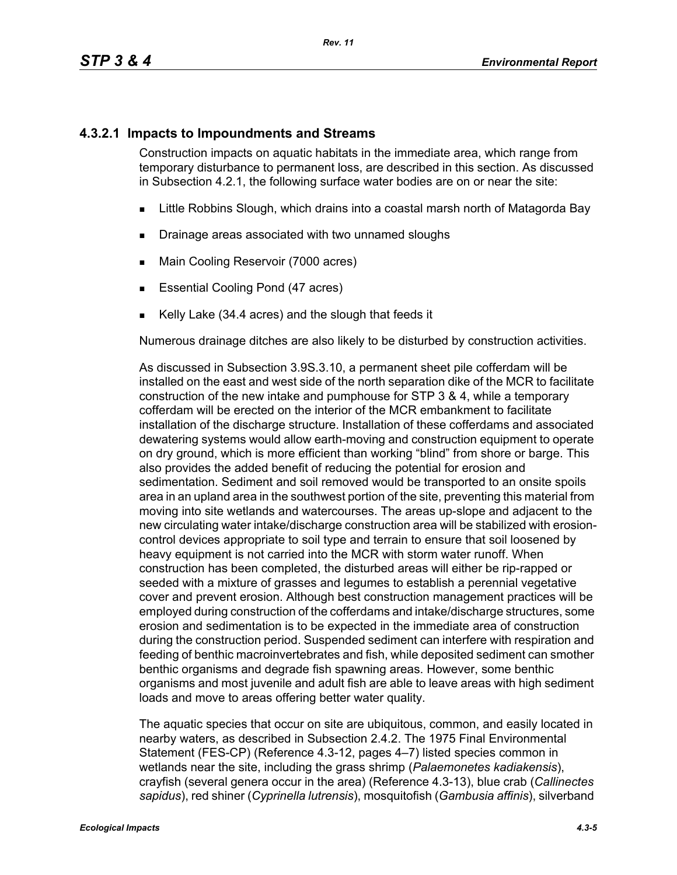### **4.3.2.1 Impacts to Impoundments and Streams**

Construction impacts on aquatic habitats in the immediate area, which range from temporary disturbance to permanent loss, are described in this section. As discussed in Subsection 4.2.1, the following surface water bodies are on or near the site:

- **EXALLET A** Little Robbins Slough, which drains into a coastal marsh north of Matagorda Bay
- **Drainage areas associated with two unnamed sloughs**
- **Main Cooling Reservoir (7000 acres)**
- **Essential Cooling Pond (47 acres)**
- Kelly Lake (34.4 acres) and the slough that feeds it

Numerous drainage ditches are also likely to be disturbed by construction activities.

As discussed in Subsection 3.9S.3.10, a permanent sheet pile cofferdam will be installed on the east and west side of the north separation dike of the MCR to facilitate construction of the new intake and pumphouse for STP 3 & 4, while a temporary cofferdam will be erected on the interior of the MCR embankment to facilitate installation of the discharge structure. Installation of these cofferdams and associated dewatering systems would allow earth-moving and construction equipment to operate on dry ground, which is more efficient than working "blind" from shore or barge. This also provides the added benefit of reducing the potential for erosion and sedimentation. Sediment and soil removed would be transported to an onsite spoils area in an upland area in the southwest portion of the site, preventing this material from moving into site wetlands and watercourses. The areas up-slope and adjacent to the new circulating water intake/discharge construction area will be stabilized with erosioncontrol devices appropriate to soil type and terrain to ensure that soil loosened by heavy equipment is not carried into the MCR with storm water runoff. When construction has been completed, the disturbed areas will either be rip-rapped or seeded with a mixture of grasses and legumes to establish a perennial vegetative cover and prevent erosion. Although best construction management practices will be employed during construction of the cofferdams and intake/discharge structures, some erosion and sedimentation is to be expected in the immediate area of construction during the construction period. Suspended sediment can interfere with respiration and feeding of benthic macroinvertebrates and fish, while deposited sediment can smother benthic organisms and degrade fish spawning areas. However, some benthic organisms and most juvenile and adult fish are able to leave areas with high sediment loads and move to areas offering better water quality.

The aquatic species that occur on site are ubiquitous, common, and easily located in nearby waters, as described in Subsection 2.4.2. The 1975 Final Environmental Statement (FES-CP) (Reference 4.3-12, pages 4–7) listed species common in wetlands near the site, including the grass shrimp (*Palaemonetes kadiakensis*), crayfish (several genera occur in the area) (Reference 4.3-13), blue crab (*Callinectes sapidus*), red shiner (*Cyprinella lutrensis*), mosquitofish (*Gambusia affinis*), silverband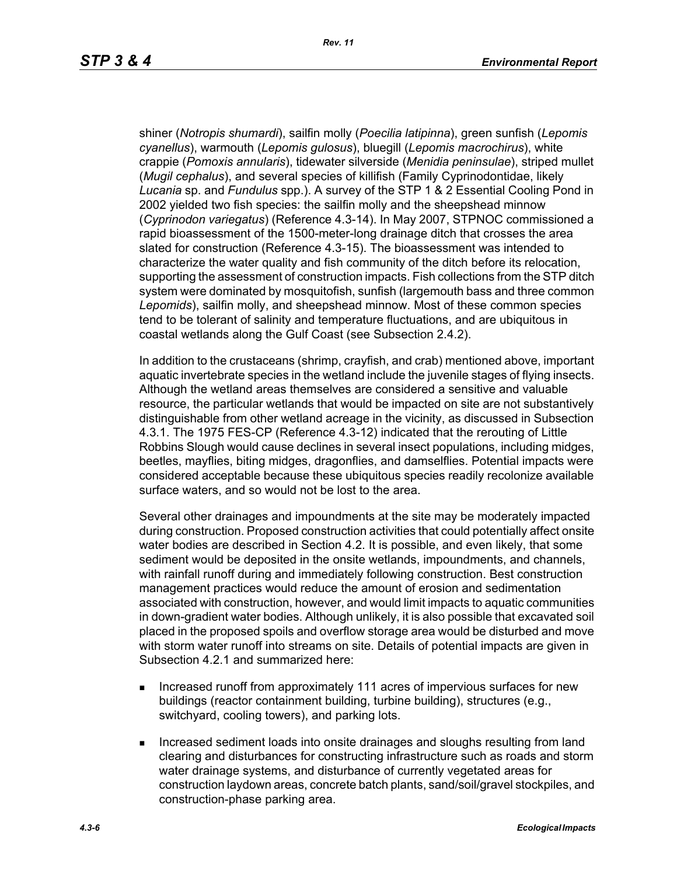shiner (*Notropis shumardi*), sailfin molly (*Poecilia latipinna*), green sunfish (*Lepomis cyanellus*), warmouth (*Lepomis gulosus*), bluegill (*Lepomis macrochirus*), white crappie (*Pomoxis annularis*), tidewater silverside (*Menidia peninsulae*), striped mullet (*Mugil cephalus*), and several species of killifish (Family Cyprinodontidae, likely *Lucania* sp. and *Fundulus* spp.). A survey of the STP 1 & 2 Essential Cooling Pond in 2002 yielded two fish species: the sailfin molly and the sheepshead minnow (*Cyprinodon variegatus*) (Reference 4.3-14). In May 2007, STPNOC commissioned a rapid bioassessment of the 1500-meter-long drainage ditch that crosses the area slated for construction (Reference 4.3-15). The bioassessment was intended to characterize the water quality and fish community of the ditch before its relocation, supporting the assessment of construction impacts. Fish collections from the STP ditch system were dominated by mosquitofish, sunfish (largemouth bass and three common *Lepomids*), sailfin molly, and sheepshead minnow. Most of these common species tend to be tolerant of salinity and temperature fluctuations, and are ubiquitous in coastal wetlands along the Gulf Coast (see Subsection 2.4.2).

In addition to the crustaceans (shrimp, crayfish, and crab) mentioned above, important aquatic invertebrate species in the wetland include the juvenile stages of flying insects. Although the wetland areas themselves are considered a sensitive and valuable resource, the particular wetlands that would be impacted on site are not substantively distinguishable from other wetland acreage in the vicinity, as discussed in Subsection 4.3.1. The 1975 FES-CP (Reference 4.3-12) indicated that the rerouting of Little Robbins Slough would cause declines in several insect populations, including midges, beetles, mayflies, biting midges, dragonflies, and damselflies. Potential impacts were considered acceptable because these ubiquitous species readily recolonize available surface waters, and so would not be lost to the area.

Several other drainages and impoundments at the site may be moderately impacted during construction. Proposed construction activities that could potentially affect onsite water bodies are described in Section 4.2. It is possible, and even likely, that some sediment would be deposited in the onsite wetlands, impoundments, and channels, with rainfall runoff during and immediately following construction. Best construction management practices would reduce the amount of erosion and sedimentation associated with construction, however, and would limit impacts to aquatic communities in down-gradient water bodies. Although unlikely, it is also possible that excavated soil placed in the proposed spoils and overflow storage area would be disturbed and move with storm water runoff into streams on site. Details of potential impacts are given in Subsection 4.2.1 and summarized here:

- **Increased runoff from approximately 111 acres of impervious surfaces for new** buildings (reactor containment building, turbine building), structures (e.g., switchyard, cooling towers), and parking lots.
- **Increased sediment loads into onsite drainages and sloughs resulting from land** clearing and disturbances for constructing infrastructure such as roads and storm water drainage systems, and disturbance of currently vegetated areas for construction laydown areas, concrete batch plants, sand/soil/gravel stockpiles, and construction-phase parking area.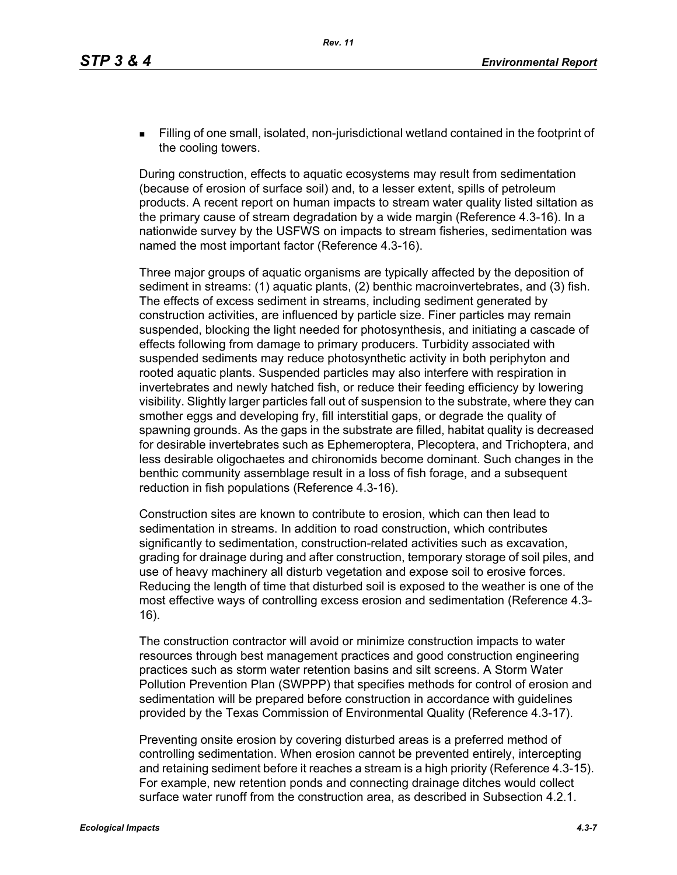Filling of one small, isolated, non-jurisdictional wetland contained in the footprint of the cooling towers.

During construction, effects to aquatic ecosystems may result from sedimentation (because of erosion of surface soil) and, to a lesser extent, spills of petroleum products. A recent report on human impacts to stream water quality listed siltation as the primary cause of stream degradation by a wide margin (Reference 4.3-16). In a nationwide survey by the USFWS on impacts to stream fisheries, sedimentation was named the most important factor (Reference 4.3-16).

Three major groups of aquatic organisms are typically affected by the deposition of sediment in streams: (1) aquatic plants, (2) benthic macroinvertebrates, and (3) fish. The effects of excess sediment in streams, including sediment generated by construction activities, are influenced by particle size. Finer particles may remain suspended, blocking the light needed for photosynthesis, and initiating a cascade of effects following from damage to primary producers. Turbidity associated with suspended sediments may reduce photosynthetic activity in both periphyton and rooted aquatic plants. Suspended particles may also interfere with respiration in invertebrates and newly hatched fish, or reduce their feeding efficiency by lowering visibility. Slightly larger particles fall out of suspension to the substrate, where they can smother eggs and developing fry, fill interstitial gaps, or degrade the quality of spawning grounds. As the gaps in the substrate are filled, habitat quality is decreased for desirable invertebrates such as Ephemeroptera, Plecoptera, and Trichoptera, and less desirable oligochaetes and chironomids become dominant. Such changes in the benthic community assemblage result in a loss of fish forage, and a subsequent reduction in fish populations (Reference 4.3-16).

Construction sites are known to contribute to erosion, which can then lead to sedimentation in streams. In addition to road construction, which contributes significantly to sedimentation, construction-related activities such as excavation, grading for drainage during and after construction, temporary storage of soil piles, and use of heavy machinery all disturb vegetation and expose soil to erosive forces. Reducing the length of time that disturbed soil is exposed to the weather is one of the most effective ways of controlling excess erosion and sedimentation (Reference 4.3- 16).

The construction contractor will avoid or minimize construction impacts to water resources through best management practices and good construction engineering practices such as storm water retention basins and silt screens. A Storm Water Pollution Prevention Plan (SWPPP) that specifies methods for control of erosion and sedimentation will be prepared before construction in accordance with guidelines provided by the Texas Commission of Environmental Quality (Reference 4.3-17).

Preventing onsite erosion by covering disturbed areas is a preferred method of controlling sedimentation. When erosion cannot be prevented entirely, intercepting and retaining sediment before it reaches a stream is a high priority (Reference 4.3-15). For example, new retention ponds and connecting drainage ditches would collect surface water runoff from the construction area, as described in Subsection 4.2.1.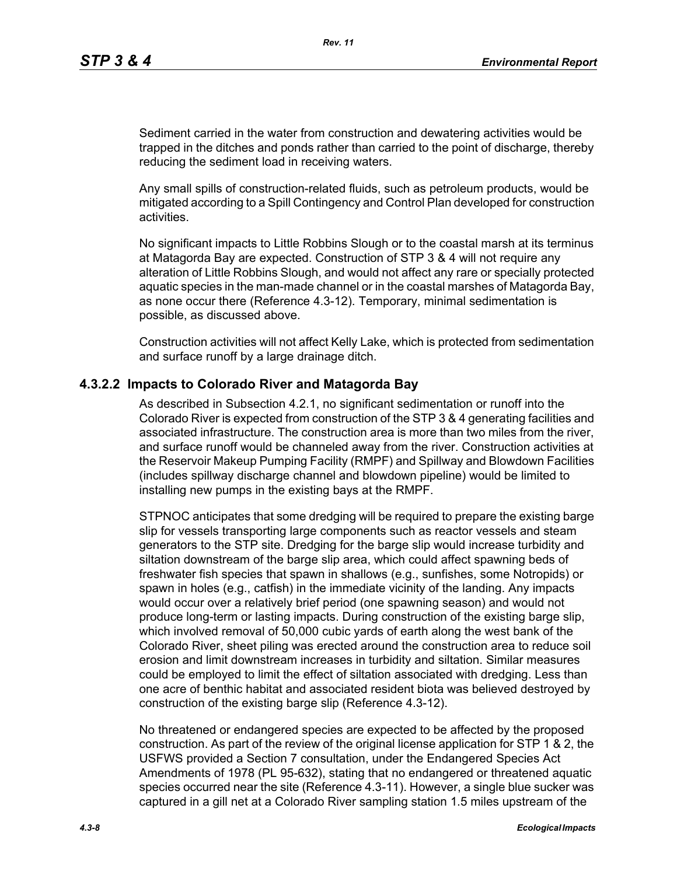Sediment carried in the water from construction and dewatering activities would be trapped in the ditches and ponds rather than carried to the point of discharge, thereby reducing the sediment load in receiving waters.

Any small spills of construction-related fluids, such as petroleum products, would be mitigated according to a Spill Contingency and Control Plan developed for construction activities.

No significant impacts to Little Robbins Slough or to the coastal marsh at its terminus at Matagorda Bay are expected. Construction of STP 3 & 4 will not require any alteration of Little Robbins Slough, and would not affect any rare or specially protected aquatic species in the man-made channel or in the coastal marshes of Matagorda Bay, as none occur there (Reference 4.3-12). Temporary, minimal sedimentation is possible, as discussed above.

Construction activities will not affect Kelly Lake, which is protected from sedimentation and surface runoff by a large drainage ditch.

#### **4.3.2.2 Impacts to Colorado River and Matagorda Bay**

As described in Subsection 4.2.1, no significant sedimentation or runoff into the Colorado River is expected from construction of the STP 3 & 4 generating facilities and associated infrastructure. The construction area is more than two miles from the river, and surface runoff would be channeled away from the river. Construction activities at the Reservoir Makeup Pumping Facility (RMPF) and Spillway and Blowdown Facilities (includes spillway discharge channel and blowdown pipeline) would be limited to installing new pumps in the existing bays at the RMPF.

STPNOC anticipates that some dredging will be required to prepare the existing barge slip for vessels transporting large components such as reactor vessels and steam generators to the STP site. Dredging for the barge slip would increase turbidity and siltation downstream of the barge slip area, which could affect spawning beds of freshwater fish species that spawn in shallows (e.g., sunfishes, some Notropids) or spawn in holes (e.g., catfish) in the immediate vicinity of the landing. Any impacts would occur over a relatively brief period (one spawning season) and would not produce long-term or lasting impacts. During construction of the existing barge slip, which involved removal of 50,000 cubic yards of earth along the west bank of the Colorado River, sheet piling was erected around the construction area to reduce soil erosion and limit downstream increases in turbidity and siltation. Similar measures could be employed to limit the effect of siltation associated with dredging. Less than one acre of benthic habitat and associated resident biota was believed destroyed by construction of the existing barge slip (Reference 4.3-12).

No threatened or endangered species are expected to be affected by the proposed construction. As part of the review of the original license application for STP 1 & 2, the USFWS provided a Section 7 consultation, under the Endangered Species Act Amendments of 1978 (PL 95-632), stating that no endangered or threatened aquatic species occurred near the site (Reference 4.3-11). However, a single blue sucker was captured in a gill net at a Colorado River sampling station 1.5 miles upstream of the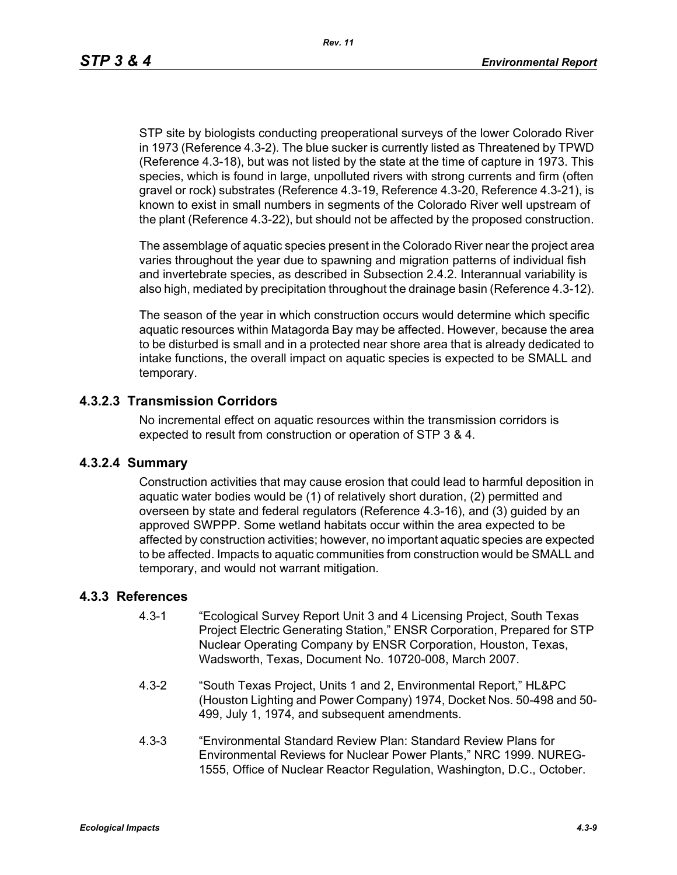STP site by biologists conducting preoperational surveys of the lower Colorado River in 1973 (Reference 4.3-2). The blue sucker is currently listed as Threatened by TPWD (Reference 4.3-18), but was not listed by the state at the time of capture in 1973. This species, which is found in large, unpolluted rivers with strong currents and firm (often gravel or rock) substrates (Reference 4.3-19, Reference 4.3-20, Reference 4.3-21), is known to exist in small numbers in segments of the Colorado River well upstream of the plant (Reference 4.3-22), but should not be affected by the proposed construction.

The assemblage of aquatic species present in the Colorado River near the project area varies throughout the year due to spawning and migration patterns of individual fish and invertebrate species, as described in Subsection 2.4.2. Interannual variability is also high, mediated by precipitation throughout the drainage basin (Reference 4.3-12).

The season of the year in which construction occurs would determine which specific aquatic resources within Matagorda Bay may be affected. However, because the area to be disturbed is small and in a protected near shore area that is already dedicated to intake functions, the overall impact on aquatic species is expected to be SMALL and temporary.

#### **4.3.2.3 Transmission Corridors**

No incremental effect on aquatic resources within the transmission corridors is expected to result from construction or operation of STP 3 & 4.

#### **4.3.2.4 Summary**

Construction activities that may cause erosion that could lead to harmful deposition in aquatic water bodies would be (1) of relatively short duration, (2) permitted and overseen by state and federal regulators (Reference 4.3-16), and (3) guided by an approved SWPPP. Some wetland habitats occur within the area expected to be affected by construction activities; however, no important aquatic species are expected to be affected. Impacts to aquatic communities from construction would be SMALL and temporary, and would not warrant mitigation.

#### **4.3.3 References**

- 4.3-1 "Ecological Survey Report Unit 3 and 4 Licensing Project, South Texas Project Electric Generating Station," ENSR Corporation, Prepared for STP Nuclear Operating Company by ENSR Corporation, Houston, Texas, Wadsworth, Texas, Document No. 10720-008, March 2007.
- 4.3-2 "South Texas Project, Units 1 and 2, Environmental Report," HL&PC (Houston Lighting and Power Company) 1974, Docket Nos. 50-498 and 50- 499, July 1, 1974, and subsequent amendments.
- 4.3-3 "Environmental Standard Review Plan: Standard Review Plans for Environmental Reviews for Nuclear Power Plants," NRC 1999. NUREG-1555, Office of Nuclear Reactor Regulation, Washington, D.C., October.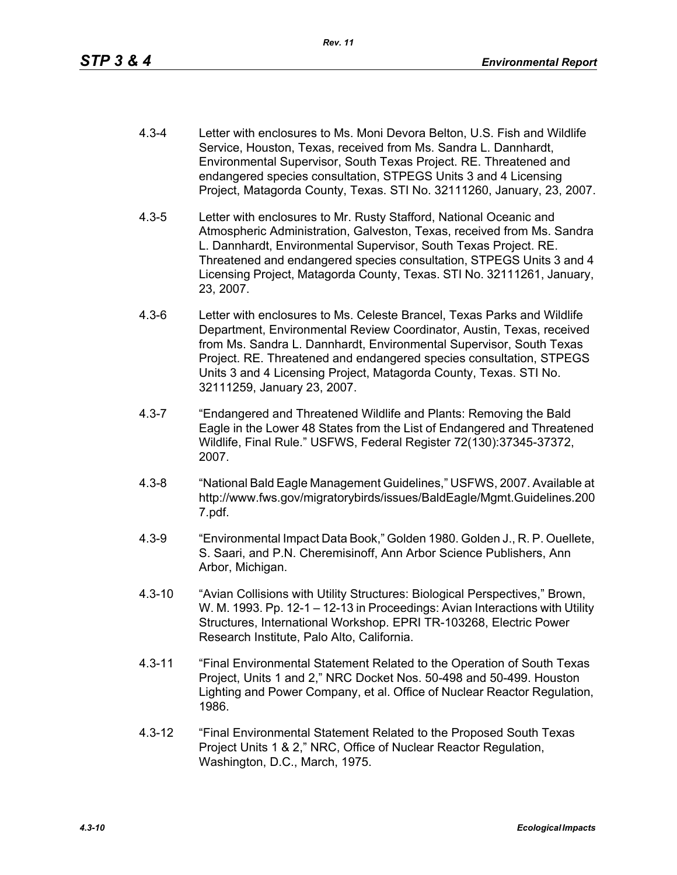- 4.3-4 Letter with enclosures to Ms. Moni Devora Belton, U.S. Fish and Wildlife Service, Houston, Texas, received from Ms. Sandra L. Dannhardt, Environmental Supervisor, South Texas Project. RE. Threatened and endangered species consultation, STPEGS Units 3 and 4 Licensing Project, Matagorda County, Texas. STI No. 32111260, January, 23, 2007.
- 4.3-5 Letter with enclosures to Mr. Rusty Stafford, National Oceanic and Atmospheric Administration, Galveston, Texas, received from Ms. Sandra L. Dannhardt, Environmental Supervisor, South Texas Project. RE. Threatened and endangered species consultation, STPEGS Units 3 and 4 Licensing Project, Matagorda County, Texas. STI No. 32111261, January, 23, 2007.
- 4.3-6 Letter with enclosures to Ms. Celeste Brancel, Texas Parks and Wildlife Department, Environmental Review Coordinator, Austin, Texas, received from Ms. Sandra L. Dannhardt, Environmental Supervisor, South Texas Project. RE. Threatened and endangered species consultation, STPEGS Units 3 and 4 Licensing Project, Matagorda County, Texas. STI No. 32111259, January 23, 2007.
- 4.3-7 "Endangered and Threatened Wildlife and Plants: Removing the Bald Eagle in the Lower 48 States from the List of Endangered and Threatened Wildlife, Final Rule." USFWS, Federal Register 72(130):37345-37372, 2007.
- 4.3-8 "National Bald Eagle Management Guidelines," USFWS, 2007. Available at http://www.fws.gov/migratorybirds/issues/BaldEagle/Mgmt.Guidelines.200 7.pdf.
- 4.3-9 "Environmental Impact Data Book," Golden 1980. Golden J., R. P. Ouellete, S. Saari, and P.N. Cheremisinoff, Ann Arbor Science Publishers, Ann Arbor, Michigan.
- 4.3-10 "Avian Collisions with Utility Structures: Biological Perspectives," Brown, W. M. 1993. Pp. 12-1 – 12-13 in Proceedings: Avian Interactions with Utility Structures, International Workshop. EPRI TR-103268, Electric Power Research Institute, Palo Alto, California.
- 4.3-11 "Final Environmental Statement Related to the Operation of South Texas Project, Units 1 and 2," NRC Docket Nos. 50-498 and 50-499. Houston Lighting and Power Company, et al. Office of Nuclear Reactor Regulation, 1986.
- 4.3-12 "Final Environmental Statement Related to the Proposed South Texas Project Units 1 & 2," NRC, Office of Nuclear Reactor Regulation, Washington, D.C., March, 1975.